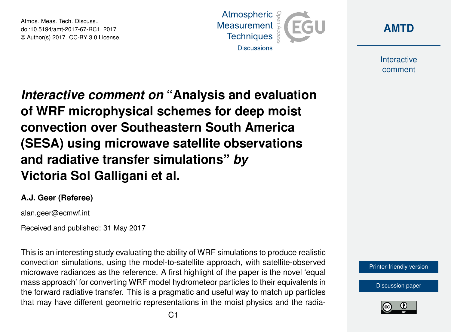Atmos. Meas. Tech. Discuss., doi:10.5194/amt-2017-67-RC1, 2017 © Author(s) 2017. CC-BY 3.0 License.





Interactive comment

*Interactive comment on* **"Analysis and evaluation of WRF microphysical schemes for deep moist convection over Southeastern South America (SESA) using microwave satellite observations and radiative transfer simulations"** *by* **Victoria Sol Galligani et al.**

## **A.J. Geer (Referee)**

alan.geer@ecmwf.int

Received and published: 31 May 2017

This is an interesting study evaluating the ability of WRF simulations to produce realistic convection simulations, using the model-to-satellite approach, with satellite-observed microwave radiances as the reference. A first highlight of the paper is the novel 'equal mass approach' for converting WRF model hydrometeor particles to their equivalents in the forward radiative transfer. This is a pragmatic and useful way to match up particles that may have different geometric representations in the moist physics and the radia-



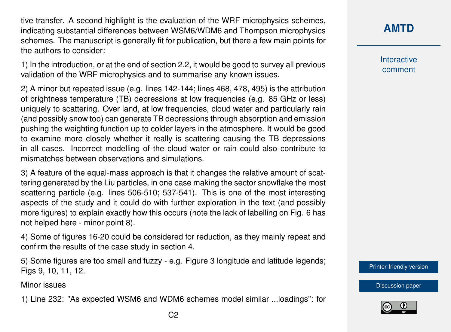tive transfer. A second highlight is the evaluation of the WRF microphysics schemes, indicating substantial differences between WSM6/WDM6 and Thompson microphysics schemes. The manuscript is generally fit for publication, but there a few main points for the authors to consider:

1) In the introduction, or at the end of section 2.2, it would be good to survey all previous validation of the WRF microphysics and to summarise any known issues.

2) A minor but repeated issue (e.g. lines 142-144; lines 468, 478, 495) is the attribution of brightness temperature (TB) depressions at low frequencies (e.g. 85 GHz or less) uniquely to scattering. Over land, at low frequencies, cloud water and particularly rain (and possibly snow too) can generate TB depressions through absorption and emission pushing the weighting function up to colder layers in the atmosphere. It would be good to examine more closely whether it really is scattering causing the TB depressions in all cases. Incorrect modelling of the cloud water or rain could also contribute to mismatches between observations and simulations.

3) A feature of the equal-mass approach is that it changes the relative amount of scattering generated by the Liu particles, in one case making the sector snowflake the most scattering particle (e.g. lines 506-510; 537-541). This is one of the most interesting aspects of the study and it could do with further exploration in the text (and possibly more figures) to explain exactly how this occurs (note the lack of labelling on Fig. 6 has not helped here - minor point 8).

4) Some of figures 16-20 could be considered for reduction, as they mainly repeat and confirm the results of the case study in section 4.

5) Some figures are too small and fuzzy - e.g. Figure 3 longitude and latitude legends; Figs 9, 10, 11, 12.

Minor issues

1) Line 232: "As expected WSM6 and WDM6 schemes model similar ...loadings": for

Interactive comment

[Printer-friendly version](http://www.atmos-meas-tech-discuss.net/amt-2017-67/amt-2017-67-RC1-print.pdf)

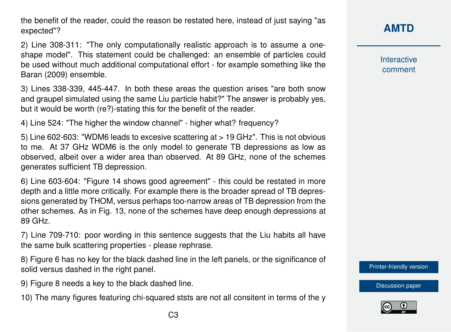the benefit of the reader, could the reason be restated here, instead of just saying "as expected"?

2) Line 308-311: "The only computationally realistic approach is to assume a oneshape model". This statement could be challenged: an ensemble of particles could be used without much additional computational effort - for example something like the Baran (2009) ensemble.

3) Lines 338-339, 445-447. In both these areas the question arises "are both snow and graupel simulated using the same Liu particle habit?" The answer is probably yes, but it would be worth (re?)-stating this for the benefit of the reader.

4) Line 524: "The higher the window channel" - higher what? frequency?

5) Line 602-603: "WDM6 leads to excesive scattering at > 19 GHz". This is not obvious to me. At 37 GHz WDM6 is the only model to generate TB depressions as low as observed, albeit over a wider area than observed. At 89 GHz, none of the schemes generates sufficient TB depression.

6) Line 603-604: "Figure 14 shows good agreement" - this could be restated in more depth and a little more critically. For example there is the broader spread of TB depressions generated by THOM, versus perhaps too-narrow areas of TB depression from the other schemes. As in Fig. 13, none of the schemes have deep enough depressions at 89 GHz.

7) Line 709-710: poor wording in this sentence suggests that the Liu habits all have the same bulk scattering properties - please rephrase.

8) Figure 6 has no key for the black dashed line in the left panels, or the significance of solid versus dashed in the right panel.

9) Figure 8 needs a key to the black dashed line.

10) The many figures featuring chi-squared ststs are not all consitent in terms of the y

Interactive comment

[Printer-friendly version](http://www.atmos-meas-tech-discuss.net/amt-2017-67/amt-2017-67-RC1-print.pdf)